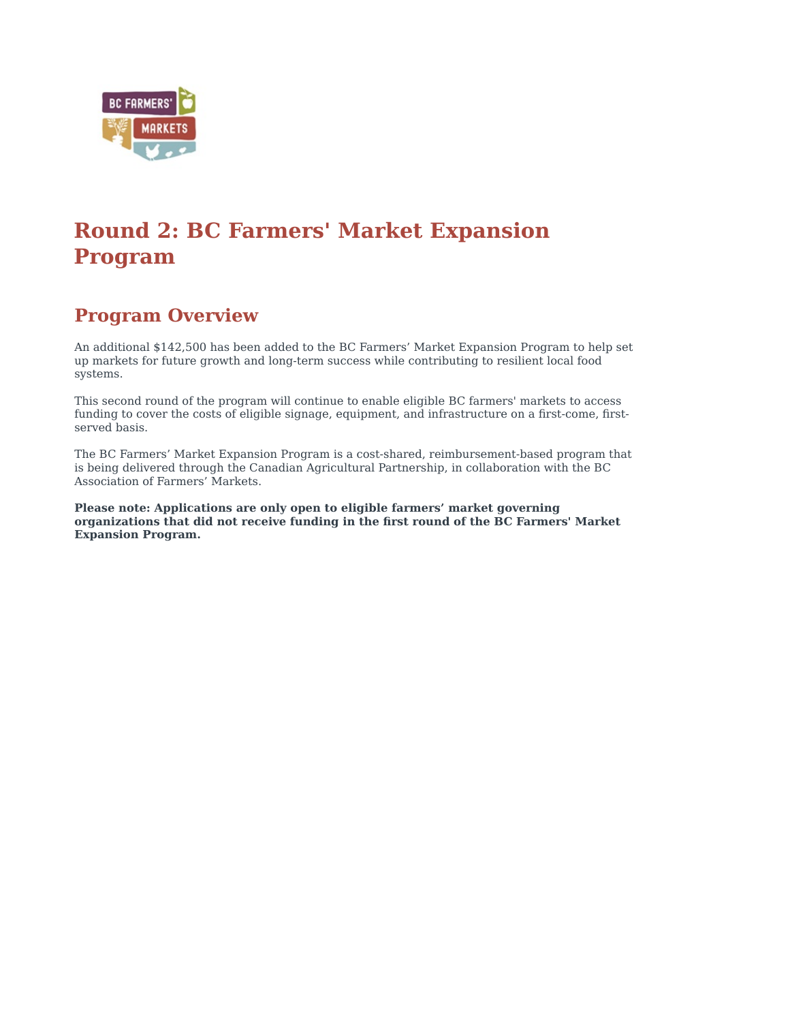

# **Round 2: BC Farmers' Market Expansion Program**

## **Program Overview**

An additional \$142,500 has been added to the BC Farmers' Market Expansion Program to help set up markets for future growth and long-term success while contributing to resilient local food systems.

This second round of the program will continue to enable eligible BC farmers' markets to access funding to cover the costs of eligible signage, equipment, and infrastructure on a first-come, firstserved basis.

The BC Farmers' Market Expansion Program is a cost-shared, reimbursement-based program that is being delivered through the Canadian Agricultural Partnership, in collaboration with the BC Association of Farmers' Markets.

**Please note:** Applications are only open to eligible farmers' market governing organizations that did not receive funding in the first round of the BC Farmers' Market **Expansion Program.**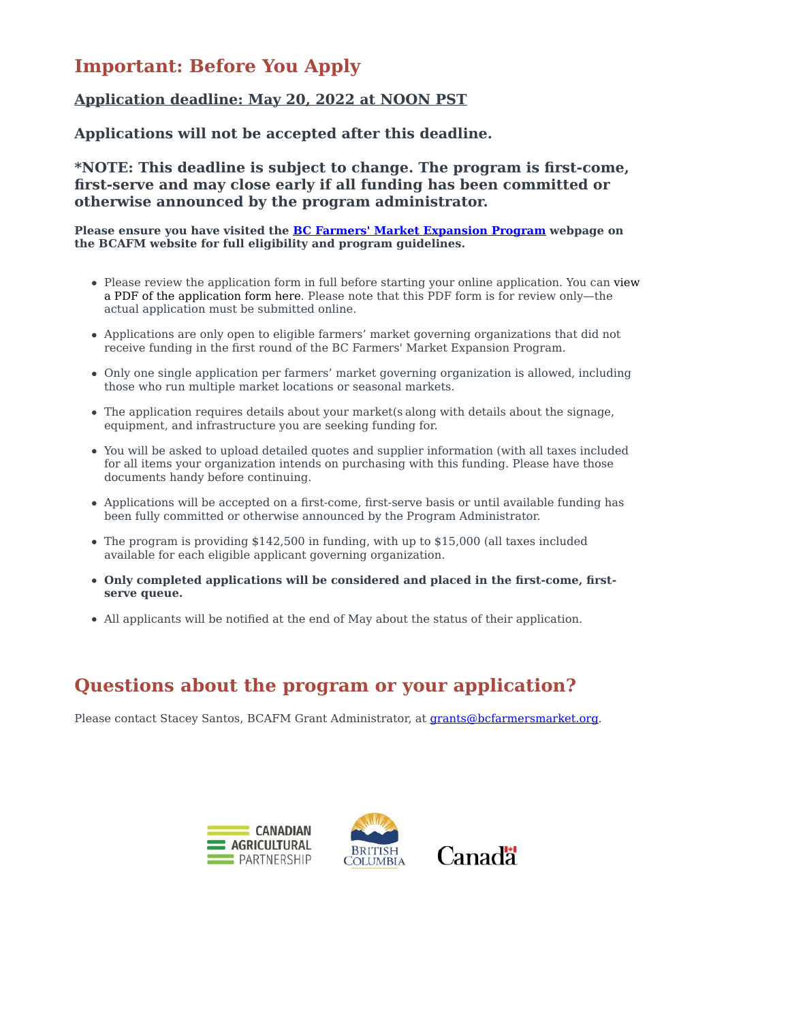## **Important: Before You Apply**

### **Application deadline: May 20, 2022 at NOON PST**

Applications will not be accepted after this deadline.

**\*NOTE: This deadline is subject to change. The program is first-come,** first-serve and may close early if all funding has been committed or otherwise announced by the program administrator.

**Please ensure you have visited the BC Farmers' Market Expansion Program webpage on** the BCAFM website for full eligibility and program guidelines.

- Please review the application form in full before starting your online application. You can view a PDF of the application form here. Please note that this PDF form is for review only—the actual application must be submitted online.
- Applications are only open to eligible farmers' market governing organizations that did not receive funding in the first round of the BC Farmers' Market Expansion Program.
- Only one single application per farmers' market governing organization is allowed, including those who run multiple market locations or seasonal markets.
- The application requires details about your market(s along with details about the signage, equipment, and infrastructure you are seeking funding for.
- You will be asked to upload detailed quotes and supplier information (with all taxes included for all items your organization intends on purchasing with this funding. Please have those documents handy before continuing.
- Applications will be accepted on a first-come, first-serve basis or until available funding has been fully committed or otherwise announced by the Program Administrator.
- The program is providing  $$142,500$  in funding, with up to  $$15,000$  (all taxes included available for each eligible applicant governing organization.
- Only completed applications will be considered and placed in the first-come, firstserve queue.
- All applicants will be notified at the end of May about the status of their application.

## Questions about the program or your application?

Please contact Stacey Santos, BCAFM Grant Administrator, at grants@bcfarmersmarket.org.



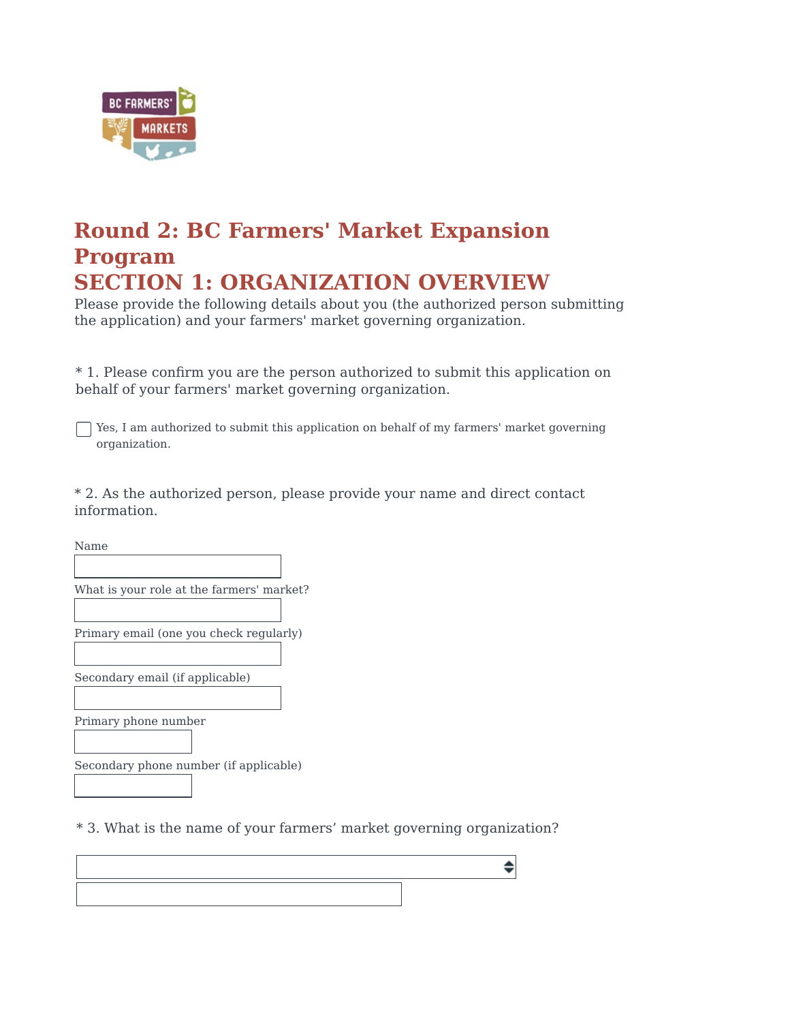

## **Round 2: BC Farmers' Market Expansion Program SECTION 1: ORGANIZATION OVERVIEW**

Please provide the following details about you (the authorized person submitting the application) and your farmers' market governing organization.

\* 1. Please confirm you are the person authorized to submit this application on behalf of your farmers' market governing organization.

 $\Box$  Yes, I am authorized to submit this application on behalf of my farmers' market governing organization.

\* 2. As the authorized person, please provide your name and direct contact information.

Name

What is your role at the farmers' market?

Primary email (one you check regularly)

Secondary email (if applicable)

Primary phone number

Secondary phone number (if applicable)

\* 3. What is the name of your farmers' market governing organization?

♦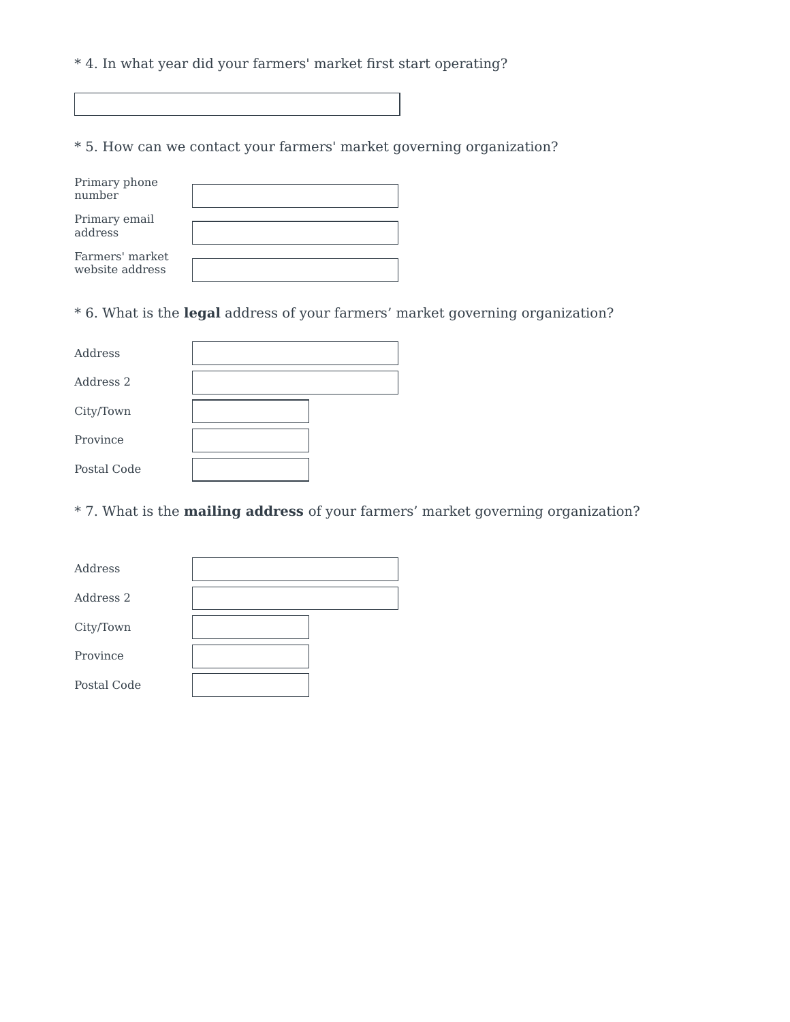\* 4. In what year did your farmers' market first start operating?

\* 5. How can we contact your farmers' market governing organization?

| Primary phone<br>number            |  |
|------------------------------------|--|
| Primary email<br>address           |  |
| Farmers' market<br>website address |  |

\* 6. What is the **legal** address of your farmers' market governing organization?

| Address     |  |
|-------------|--|
| Address 2   |  |
| City/Town   |  |
| Province    |  |
| Postal Code |  |

\* 7. What is the **mailing address** of your farmers' market governing organization?

| Address     |  |
|-------------|--|
| Address 2   |  |
| City/Town   |  |
| Province    |  |
| Postal Code |  |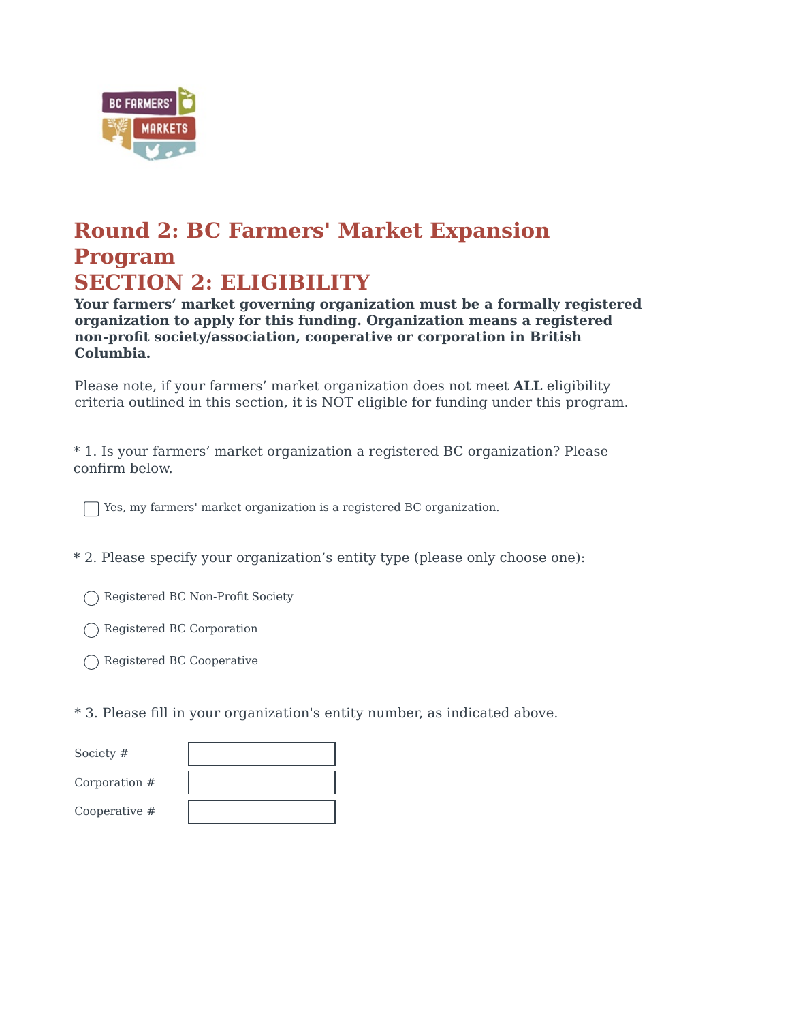

## **Round 2: BC Farmers' Market Expansion Program SECTION 2: ELIGIBILITY**

Your farmers' market governing organization must be a formally registered organization to apply for this funding. Organization means a registered **non-profit society/association, cooperative or corporation in British Columbia.**

Please note, if your farmers' market organization does not meet **ALL** eligibility criteria outlined in this section, it is NOT eligible for funding under this program.

\* 1. Is your farmers' market organization a registered BC organization? Please confirm below.

 $\Box$  Yes, my farmers' market organization is a registered BC organization.

\* 2. Please specify your organization's entity type (please only choose one):

Registered BC Non-Profit Society

◯ Registered BC Corporation

◯ Registered BC Cooperative

\* 3. Please fill in your organization's entity number, as indicated above.

| Society #     |  |
|---------------|--|
| Corporation # |  |
| Cooperative # |  |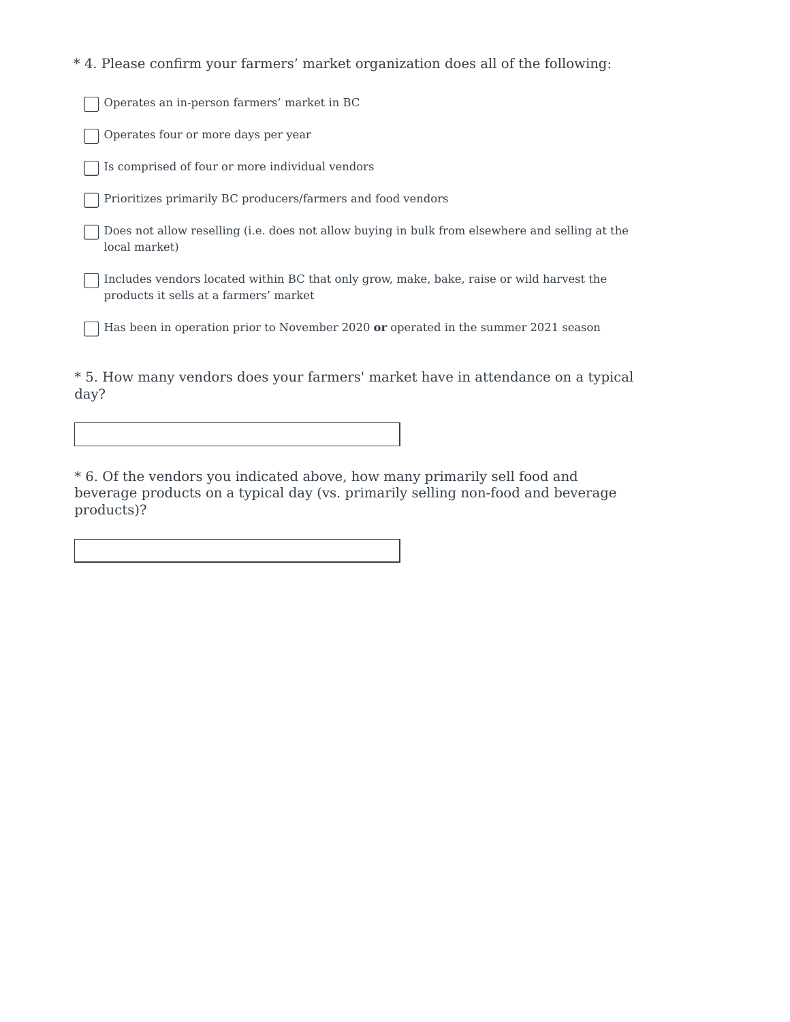\* 4. Please confirm your farmers' market organization does all of the following:

Operates an in-person farmers' market in BC

Operates four or more days per year

 $\lceil$  Is comprised of four or more individual vendors

Prioritizes primarily BC producers/farmers and food vendors

Does not allow reselling (i.e. does not allow buying in bulk from elsewhere and selling at the local market)

Includes vendors located within BC that only grow, make, bake, raise or wild harvest the products it sells at a farmers' market

Has been in operation prior to November 2020 or operated in the summer 2021 season

\* 5. How many vendors does your farmers' market have in attendance on a typical day?

\* 6. Of the vendors you indicated above, how many primarily sell food and beverage products on a typical day (vs. primarily selling non-food and beverage products)?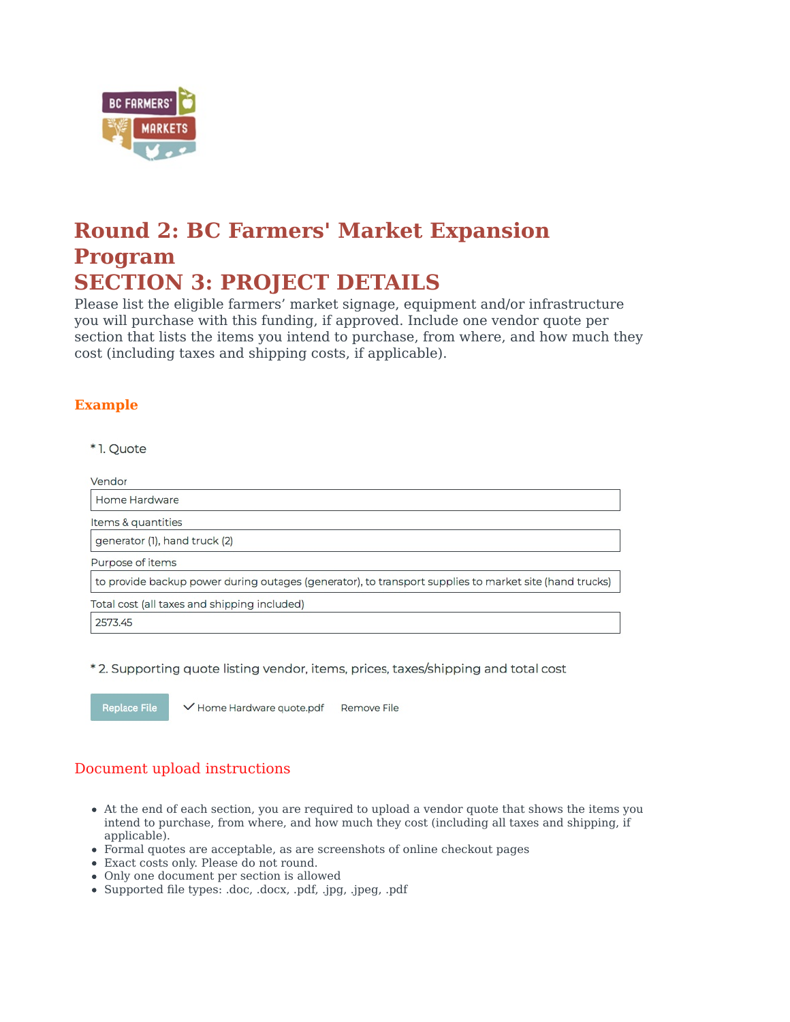

# **Round 2: BC Farmers' Market Expansion Program SECTION 3: PROJECT DETAILS**

Please list the eligible farmers' market signage, equipment and/or infrastructure you will purchase with this funding, if approved. Include one vendor quote per section that lists the items you intend to purchase, from where, and how much they cost (including taxes and shipping costs, if applicable).

### **Example**

\*1. Quote

Vendor Home Hardware Items & quantities generator (1), hand truck (2)

Purpose of items

to provide backup power during outages (generator), to transport supplies to market site (hand trucks)

Total cost (all taxes and shipping included)

2573.45

\*2. Supporting quote listing vendor, items, prices, taxes/shipping and total cost

**Replace File** 

✔ Home Hardware quote.pdf Remove File

### Document upload instructions

- At the end of each section, you are required to upload a vendor quote that shows the items you intend to purchase, from where, and how much they cost (including all taxes and shipping, if applicable).
- Formal quotes are acceptable, as are screenshots of online checkout pages
- Exact costs only. Please do not round.
- Only one document per section is allowed
- Supported file types: .doc, .docx, .pdf, .jpg, .jpeg, .pdf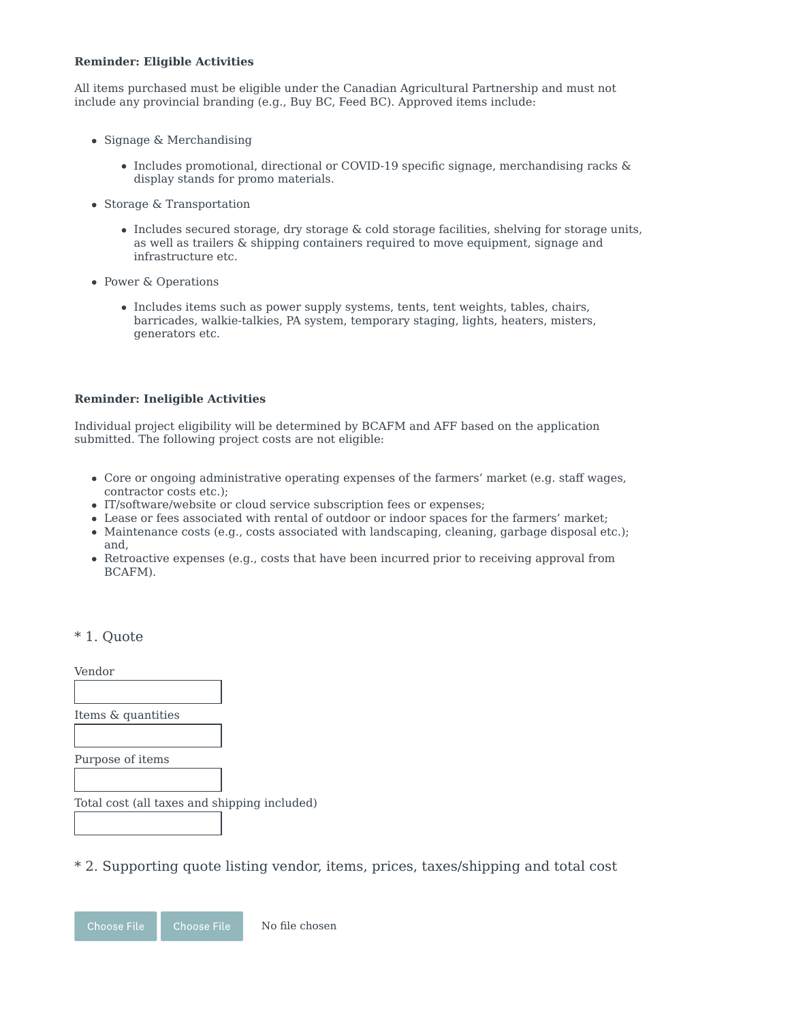#### **Reminder: Eligible Activities**

All items purchased must be eligible under the Canadian Agricultural Partnership and must not include any provincial branding  $(e.g., Buy BC, Feed BC)$ . Approved items include:

- $\bullet$  Signage & Merchandising
	- Includes promotional, directional or COVID-19 specific signage, merchandising racks & display stands for promo materials.
- Storage & Transportation
	- $\bullet$  Includes secured storage, dry storage & cold storage facilities, shelving for storage units, as well as trailers & shipping containers required to move equipment, signage and infrastructure etc.
- Power & Operations
	- Includes items such as power supply systems, tents, tent weights, tables, chairs, barricades, walkie-talkies, PA system, temporary staging, lights, heaters, misters, generators etc.

#### **Reminder: Ineligible Activities**

Individual project eligibility will be determined by BCAFM and AFF based on the application submitted. The following project costs are not eligible:

- Core or ongoing administrative operating expenses of the farmers' market (e.g. staff wages, contractor costs etc.);
- IT/software/website or cloud service subscription fees or expenses;
- Lease or fees associated with rental of outdoor or indoor spaces for the farmers' market;
- Maintenance costs (e.g., costs associated with landscaping, cleaning, garbage disposal etc.); and,
- Retroactive expenses (e.g., costs that have been incurred prior to receiving approval from BCAFM).

#### \* 1. Quote

Vendor Items & quantities Purpose of items Total cost (all taxes and shipping included)

\* 2. Supporting quote listing vendor, items, prices, taxes/shipping and total cost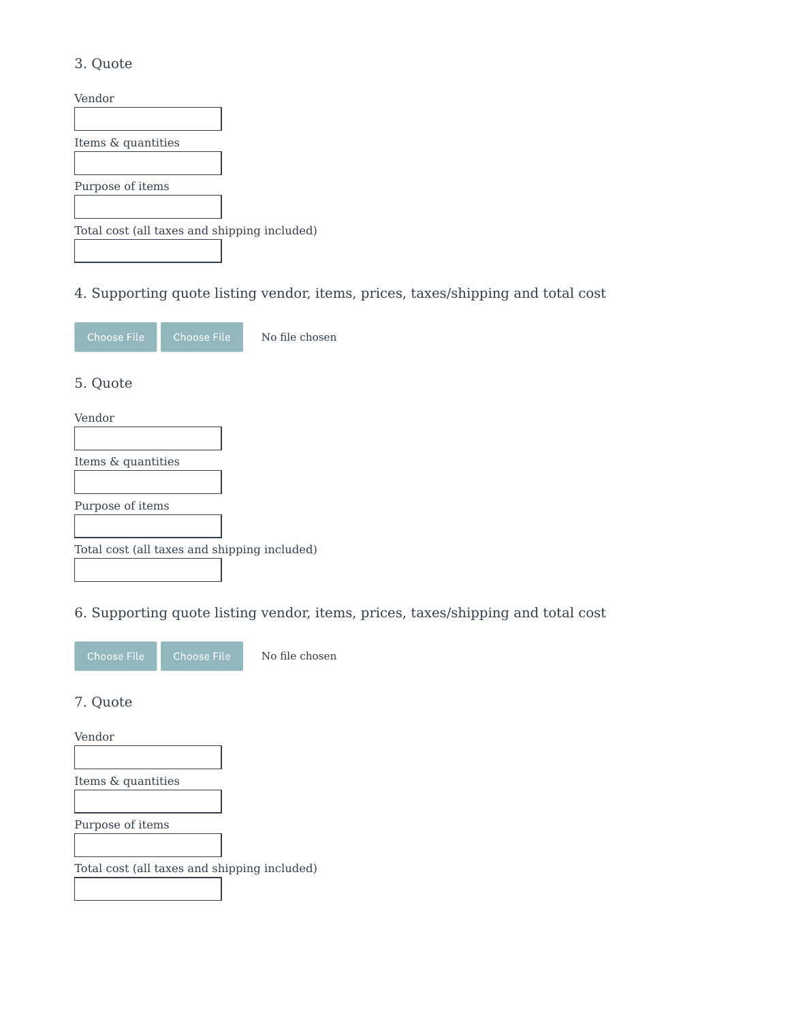### 3. Quote

| Vendor                                       |  |
|----------------------------------------------|--|
|                                              |  |
| Items & quantities                           |  |
|                                              |  |
| Purpose of items                             |  |
|                                              |  |
| Total cost (all taxes and shipping included) |  |
|                                              |  |

## 4. Supporting quote listing vendor, items, prices, taxes/shipping and total cost



No file chosen

### 5. Quote

| Vendor                                       |  |
|----------------------------------------------|--|
|                                              |  |
| Items & quantities                           |  |
|                                              |  |
| Purpose of items                             |  |
|                                              |  |
| Total cost (all taxes and shipping included) |  |
|                                              |  |

### 6. Supporting quote listing vendor, items, prices, taxes/shipping and total cost



No file chosen

#### 7. Quote

Vendor Items & quantities Purpose of items Total cost (all taxes and shipping included)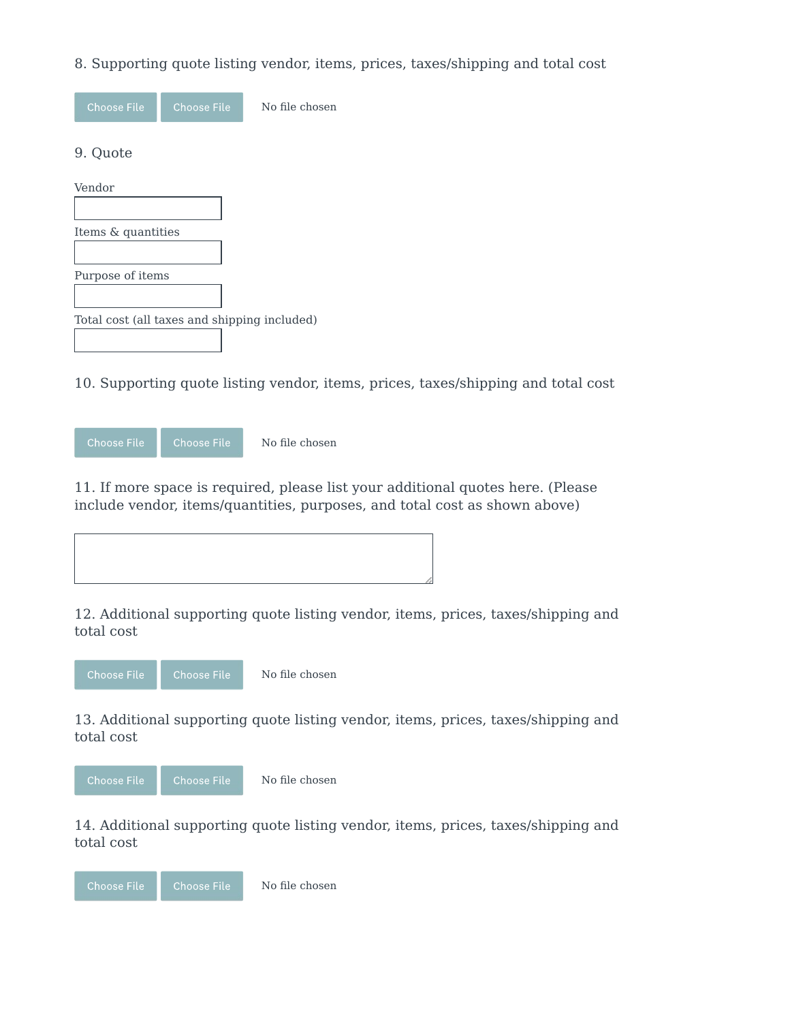### 8. Supporting quote listing vendor, items, prices, taxes/shipping and total cost

| <b>Choose File</b>                           | <b>Choose File</b> | No file chosen |
|----------------------------------------------|--------------------|----------------|
| 9. Quote                                     |                    |                |
| Vendor                                       |                    |                |
|                                              |                    |                |
| Items & quantities                           |                    |                |
|                                              |                    |                |
| Purpose of items                             |                    |                |
|                                              |                    |                |
| Total cost (all taxes and shipping included) |                    |                |
|                                              |                    |                |

10. Supporting quote listing vendor, items, prices, taxes/shipping and total cost



11. If more space is required, please list your additional quotes here. (Please include vendor, items/quantities, purposes, and total cost as shown above)



12. Additional supporting quote listing vendor, items, prices, taxes/shipping and total cost



No file chosen

13. Additional supporting quote listing vendor, items, prices, taxes/shipping and total cost



14. Additional supporting quote listing vendor, items, prices, taxes/shipping and total cost

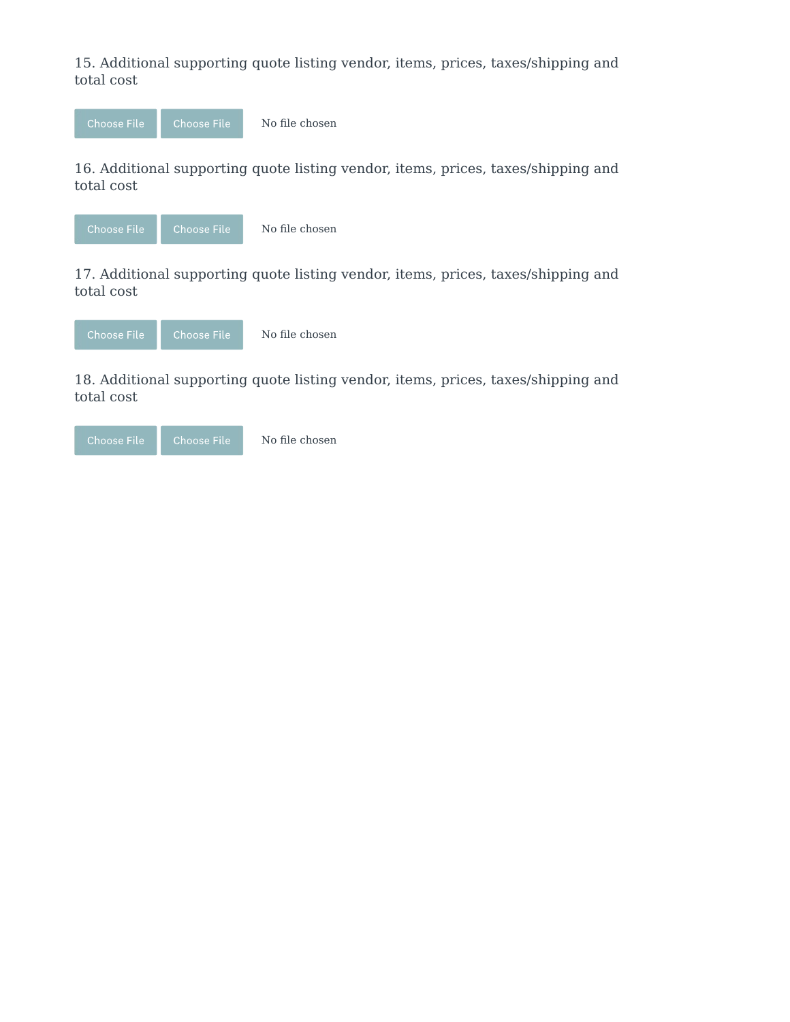15. Additional supporting quote listing vendor, items, prices, taxes/shipping and total cost



16. Additional supporting quote listing vendor, items, prices, taxes/shipping and total cost



No file chosen

17. Additional supporting quote listing vendor, items, prices, taxes/shipping and total cost



18. Additional supporting quote listing vendor, items, prices, taxes/shipping and total cost

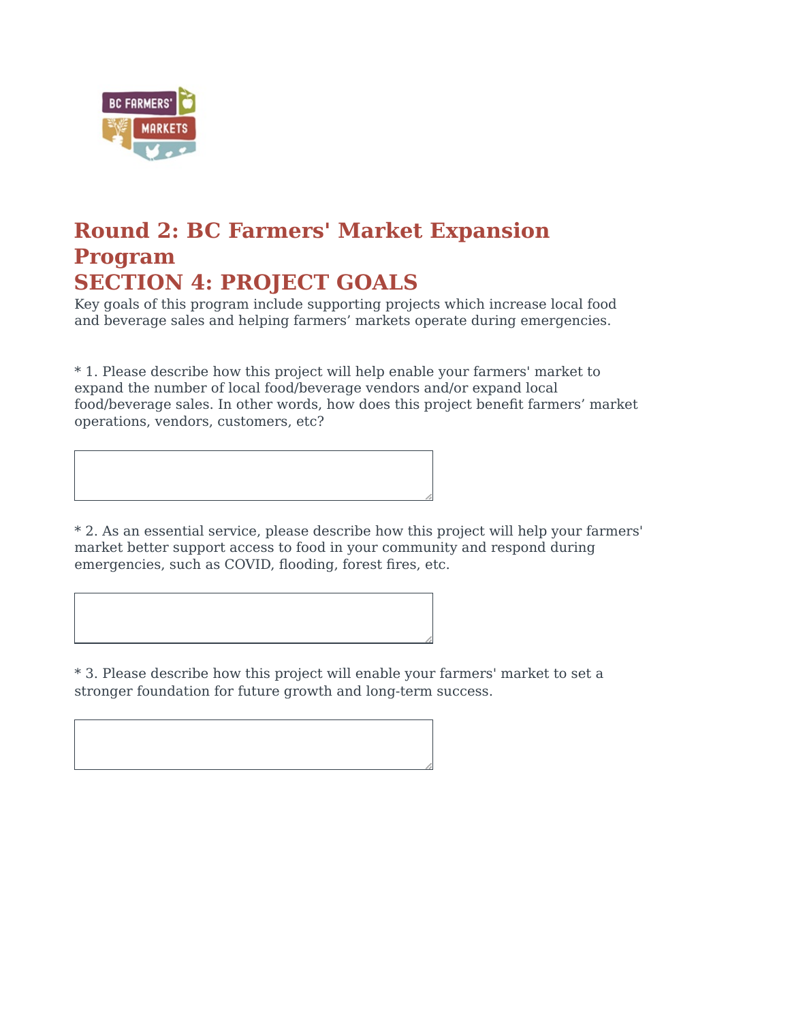

## **Round 2: BC Farmers' Market Expansion Program SECTION 4: PROJECT GOALS**

Key goals of this program include supporting projects which increase local food and beverage sales and helping farmers' markets operate during emergencies.

\* 1. Please describe how this project will help enable your farmers' market to expand the number of local food/beverage vendors and/or expand local food/beverage sales. In other words, how does this project benefit farmers' market operations, vendors, customers, etc?

\* 2. As an essential service, please describe how this project will help your farmers' market better support access to food in your community and respond during emergencies, such as COVID, flooding, forest fires, etc.

\* 3. Please describe how this project will enable your farmers' market to set a stronger foundation for future growth and long-term success.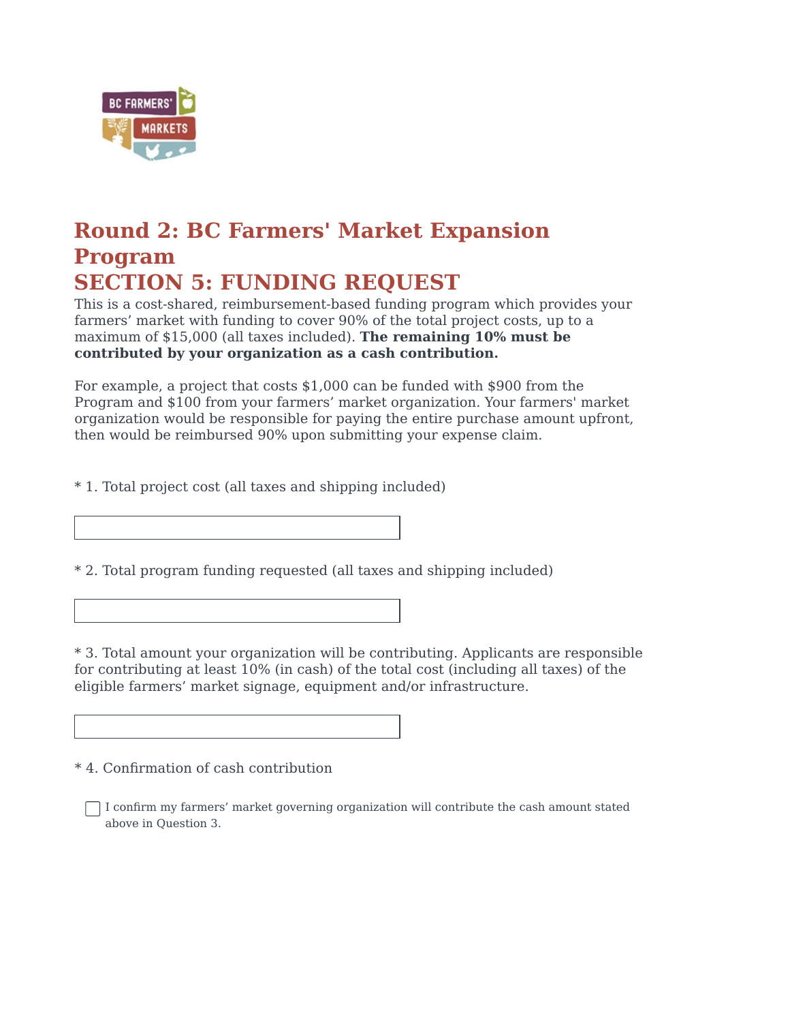

# **Round 2: BC Farmers' Market Expansion Program SECTION 5: FUNDING REQUEST**

This is a cost-shared, reimbursement-based funding program which provides your farmers' market with funding to cover 90% of the total project costs, up to a maximum of \$15,000 (all taxes included). **The remaining 10% must be** contributed by your organization as a cash contribution.

For example, a project that costs  $$1,000$  can be funded with  $$900$  from the Program and \$100 from your farmers' market organization. Your farmers' market organization would be responsible for paying the entire purchase amount upfront, then would be reimbursed 90% upon submitting your expense claim.

\* 1. Total project cost (all taxes and shipping included)

\* 2. Total program funding requested (all taxes and shipping included)

\* 3. Total amount your organization will be contributing. Applicants are responsible for contributing at least  $10\%$  (in cash) of the total cost (including all taxes) of the eligible farmers' market signage, equipment and/or infrastructure.

\* 4. Confirmation of cash contribution

 $\Box$  I confirm my farmers' market governing organization will contribute the cash amount stated above in Question 3.